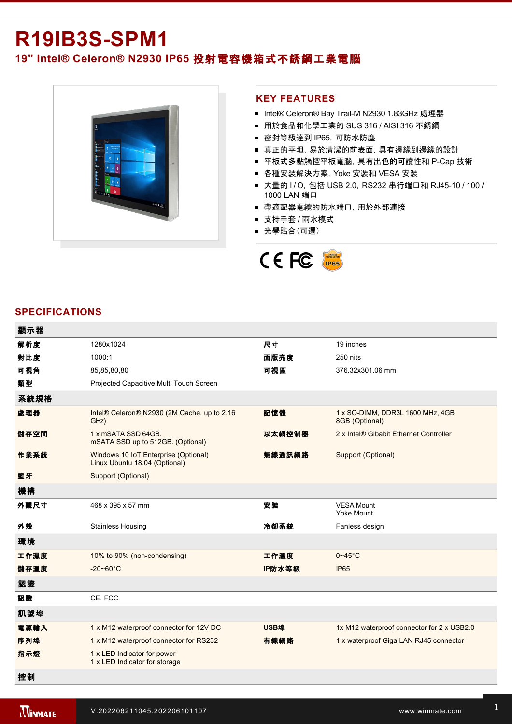# **R19IB3S-SPM1**

# **19" Intel® Celeron® N2930 IP65** 投射電容機箱式不銹鋼工業電腦



#### **KEY FEATURES**

- Intel® Celeron® Bay Trail-M N2930 1.83GHz 處理器
- 用於食品和化學工業的 SUS 316 / AISI 316 不銹鋼
- 密封等級達到 IP65, 可防水防塵
- 真正的平坦,易於清潔的前表面,具有邊緣到邊緣的設計
- 平板式多點觸控平板電腦, 具有出色的可讀性和 P-Cap 技術
- 各種安裝解決方案, Yoke 安裝和 VESA 安裝
- 大量的 I/O, 包括 USB 2.0, RS232 串行端口和 RJ45-10 / 100 / 1000 LAN 端口
- 帶適配器電纜的防水端口, 用於外部連接
- 支持手套 / 雨水模式
- 光學貼合(可選)



#### **SPECIFICATIONS**

| 顯示器  |                                                                       |        |                                                    |
|------|-----------------------------------------------------------------------|--------|----------------------------------------------------|
| 解析度  | 1280x1024                                                             | 尺寸     | 19 inches                                          |
| 對比度  | 1000:1                                                                | 面版亮度   | 250 nits                                           |
| 可視角  | 85,85,80,80                                                           | 可視區    | 376.32x301.06 mm                                   |
| 類型   | Projected Capacitive Multi Touch Screen                               |        |                                                    |
| 系統規格 |                                                                       |        |                                                    |
| 處理器  | Intel® Celeron® N2930 (2M Cache, up to 2.16<br>GHz)                   | 記憶體    | 1 x SO-DIMM, DDR3L 1600 MHz, 4GB<br>8GB (Optional) |
| 儲存空間 | 1 x mSATA SSD 64GB.<br>mSATA SSD up to 512GB. (Optional)              | 以太網控制器 | 2 x Intel® Gibabit Ethernet Controller             |
| 作業系統 | Windows 10 IoT Enterprise (Optional)<br>Linux Ubuntu 18.04 (Optional) | 無線通訊網路 | Support (Optional)                                 |
| 藍牙   | Support (Optional)                                                    |        |                                                    |
| 機構   |                                                                       |        |                                                    |
| 外觀尺寸 | 468 x 395 x 57 mm                                                     | 安裝     | <b>VESA Mount</b><br><b>Yoke Mount</b>             |
| 外殼   | <b>Stainless Housing</b>                                              | 冷卻系統   | Fanless design                                     |
| 環境   |                                                                       |        |                                                    |
| 工作濕度 | 10% to 90% (non-condensing)                                           | 工作溫度   | $0 - 45$ °C                                        |
| 儲存溫度 | $-20 - 60^{\circ}C$                                                   | IP防水等級 | <b>IP65</b>                                        |
| 認證   |                                                                       |        |                                                    |
| 認證   | CE, FCC                                                               |        |                                                    |
| 訊號埠  |                                                                       |        |                                                    |
| 電源輸入 | 1 x M12 waterproof connector for 12V DC                               | USB埠   | 1x M12 waterproof connector for 2 x USB2.0         |
| 序列埠  | 1 x M12 waterproof connector for RS232                                | 有線網路   | 1 x waterproof Giga LAN RJ45 connector             |
| 指示燈  | 1 x LED Indicator for power<br>1 x LED Indicator for storage          |        |                                                    |
| 控制   |                                                                       |        |                                                    |

1 x Reset Button